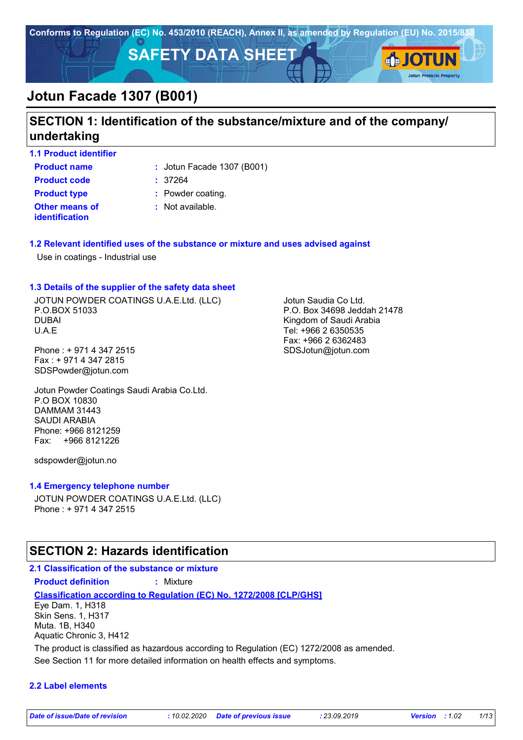

# **SECTION 1: Identification of the substance/mixture and of the company/ undertaking**

**1.1 Product identifier**

**Product name**  $\qquad$ : Jotun Facade 1307 (B001)

**Other means of identification Product code :** 37264 **Product type :** Powder coating.

**:** Not available.

## **1.2 Relevant identified uses of the substance or mixture and uses advised against**

Use in coatings - Industrial use

## **1.3 Details of the supplier of the safety data sheet**

JOTUN POWDER COATINGS U.A.E.Ltd. (LLC) P.O.BOX 51033 DUBAI U.A.E

Phone : + 971 4 347 2515 Fax : + 971 4 347 2815 SDSPowder@jotun.com

Jotun Powder Coatings Saudi Arabia Co.Ltd. P.O BOX 10830 DAMMAM 31443 SAUDI ARABIA Phone: +966 8121259 Fax: +966 8121226

sdspowder@jotun.no

### **1.4 Emergency telephone number**

JOTUN POWDER COATINGS U.A.E.Ltd. (LLC) Phone : + 971 4 347 2515

# **SECTION 2: Hazards identification**

## **2.1 Classification of the substance or mixture Product definition :** Mixture

**Classification according to Regulation (EC) No. 1272/2008 [CLP/GHS]** Eye Dam. 1, H318 Skin Sens. 1, H317

Muta. 1B, H340 Aquatic Chronic 3, H412

The product is classified as hazardous according to Regulation (EC) 1272/2008 as amended.

See Section 11 for more detailed information on health effects and symptoms.

### **2.2 Label elements**

Jotun Saudia Co Ltd. P.O. Box 34698 Jeddah 21478 Kingdom of Saudi Arabia Tel: +966 2 6350535 Fax: +966 2 6362483 SDSJotun@jotun.com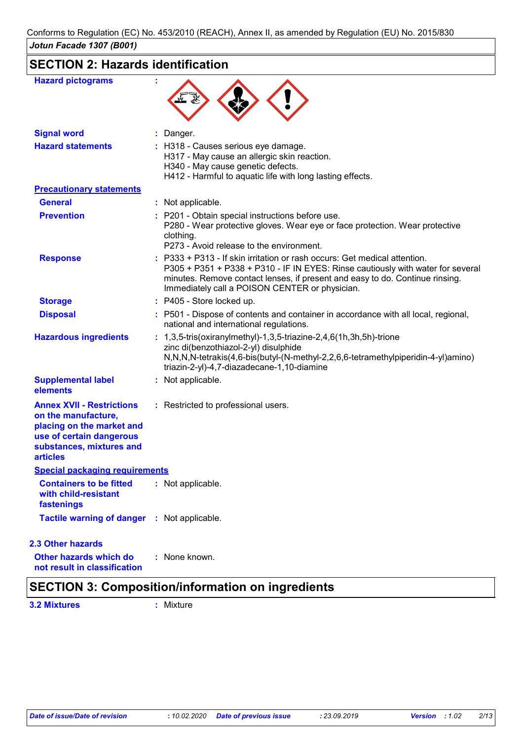# **SECTION 2: Hazards identification**

| <b>Hazard pictograms</b>                                                                                                                                        |                                                                                                                                                                                                                                                                                                |
|-----------------------------------------------------------------------------------------------------------------------------------------------------------------|------------------------------------------------------------------------------------------------------------------------------------------------------------------------------------------------------------------------------------------------------------------------------------------------|
| <b>Signal word</b>                                                                                                                                              | : Danger.                                                                                                                                                                                                                                                                                      |
| <b>Hazard statements</b>                                                                                                                                        | : H318 - Causes serious eye damage.<br>H317 - May cause an allergic skin reaction.<br>H340 - May cause genetic defects.<br>H412 - Harmful to aquatic life with long lasting effects.                                                                                                           |
| <b>Precautionary statements</b>                                                                                                                                 |                                                                                                                                                                                                                                                                                                |
| <b>General</b>                                                                                                                                                  | : Not applicable.                                                                                                                                                                                                                                                                              |
| <b>Prevention</b>                                                                                                                                               | : P201 - Obtain special instructions before use.<br>P280 - Wear protective gloves. Wear eye or face protection. Wear protective<br>clothing.<br>P273 - Avoid release to the environment.                                                                                                       |
| <b>Response</b>                                                                                                                                                 | : P333 + P313 - If skin irritation or rash occurs: Get medical attention.<br>P305 + P351 + P338 + P310 - IF IN EYES: Rinse cautiously with water for several<br>minutes. Remove contact lenses, if present and easy to do. Continue rinsing.<br>Immediately call a POISON CENTER or physician. |
| <b>Storage</b>                                                                                                                                                  | : P405 - Store locked up.                                                                                                                                                                                                                                                                      |
| <b>Disposal</b>                                                                                                                                                 | : P501 - Dispose of contents and container in accordance with all local, regional,<br>national and international regulations.                                                                                                                                                                  |
| <b>Hazardous ingredients</b>                                                                                                                                    | : $1,3,5$ -tris(oxiranylmethyl)-1,3,5-triazine-2,4,6(1h,3h,5h)-trione<br>zinc di(benzothiazol-2-yl) disulphide<br>N,N,N,N-tetrakis(4,6-bis(butyl-(N-methyl-2,2,6,6-tetramethylpiperidin-4-yl)amino)<br>triazin-2-yl)-4,7-diazadecane-1,10-diamine                                              |
| <b>Supplemental label</b><br>elements                                                                                                                           | : Not applicable.                                                                                                                                                                                                                                                                              |
| <b>Annex XVII - Restrictions</b><br>on the manufacture,<br>placing on the market and<br>use of certain dangerous<br>substances, mixtures and<br><b>articles</b> | : Restricted to professional users.                                                                                                                                                                                                                                                            |
| <b>Special packaging requirements</b>                                                                                                                           |                                                                                                                                                                                                                                                                                                |
| <b>Containers to be fitted</b><br>with child-resistant<br>fastenings                                                                                            | : Not applicable.                                                                                                                                                                                                                                                                              |
| Tactile warning of danger : Not applicable.                                                                                                                     |                                                                                                                                                                                                                                                                                                |
| <b>2.3 Other hazards</b>                                                                                                                                        |                                                                                                                                                                                                                                                                                                |
| Other hazards which do<br>not result in classification                                                                                                          | : None known.                                                                                                                                                                                                                                                                                  |

# **SECTION 3: Composition/information on ingredients**

**3.2 Mixtures :** Mixture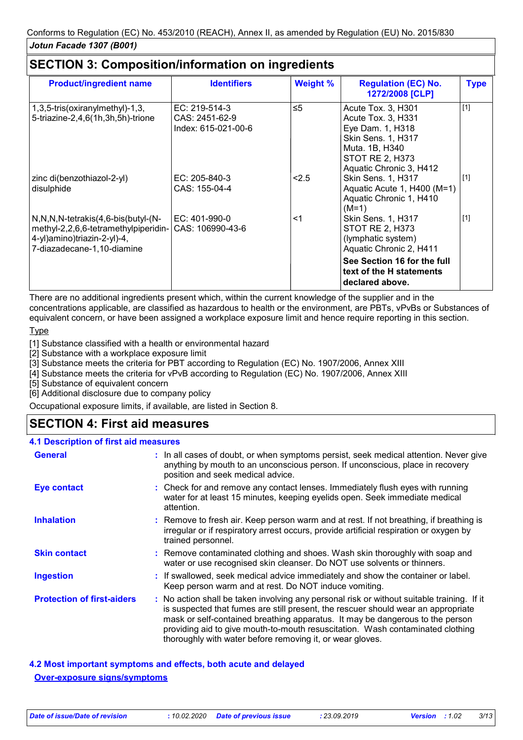| <b>Product/ingredient name</b>                                                                                                                         | <b>Identifiers</b>                                     | <b>Weight %</b> | <b>Regulation (EC) No.</b><br>1272/2008 [CLP]                                                                                                             | <b>Type</b> |
|--------------------------------------------------------------------------------------------------------------------------------------------------------|--------------------------------------------------------|-----------------|-----------------------------------------------------------------------------------------------------------------------------------------------------------|-------------|
| 1,3,5-tris(oxiranylmethyl)-1,3,<br>5-triazine-2,4,6(1h,3h,5h)-trione                                                                                   | EC: 219-514-3<br>CAS: 2451-62-9<br>Index: 615-021-00-6 | $\leq 5$        | Acute Tox. 3, H301<br>Acute Tox. 3, H331<br>Eye Dam. 1, H318<br>Skin Sens. 1, H317<br>Muta. 1B, H340<br><b>STOT RE 2, H373</b><br>Aquatic Chronic 3, H412 | $[1]$       |
| zinc di(benzothiazol-2-yl)<br>disulphide                                                                                                               | EC: 205-840-3<br>CAS: 155-04-4                         | < 2.5           | Skin Sens. 1, H317<br>Aquatic Acute 1, H400 (M=1)<br>Aquatic Chronic 1, H410<br>$(M=1)$                                                                   | $[1]$       |
| $N, N, N$ -tetrakis $(4, 6$ -bis $(buty)$ - $(N-$<br>methyl-2,2,6,6-tetramethylpiperidin-<br>4-yl)amino)triazin-2-yl)-4,<br>7-diazadecane-1,10-diamine | $EC: 401-990-0$<br>CAS: 106990-43-6                    | $<$ 1           | Skin Sens. 1, H317<br><b>STOT RE 2, H373</b><br>(lymphatic system)<br>Aquatic Chronic 2, H411                                                             | $[1]$       |
|                                                                                                                                                        |                                                        |                 | See Section 16 for the full<br>text of the H statements<br>declared above.                                                                                |             |

There are no additional ingredients present which, within the current knowledge of the supplier and in the concentrations applicable, are classified as hazardous to health or the environment, are PBTs, vPvBs or Substances of equivalent concern, or have been assigned a workplace exposure limit and hence require reporting in this section.

## Type

[1] Substance classified with a health or environmental hazard

[2] Substance with a workplace exposure limit

[3] Substance meets the criteria for PBT according to Regulation (EC) No. 1907/2006, Annex XIII

[4] Substance meets the criteria for vPvB according to Regulation (EC) No. 1907/2006, Annex XIII

[5] Substance of equivalent concern

[6] Additional disclosure due to company policy

Occupational exposure limits, if available, are listed in Section 8.

# **SECTION 4: First aid measures**

### **4.1 Description of first aid measures**

| <b>General</b>                    | : In all cases of doubt, or when symptoms persist, seek medical attention. Never give<br>anything by mouth to an unconscious person. If unconscious, place in recovery<br>position and seek medical advice.                                                                                                                                                                                                     |  |
|-----------------------------------|-----------------------------------------------------------------------------------------------------------------------------------------------------------------------------------------------------------------------------------------------------------------------------------------------------------------------------------------------------------------------------------------------------------------|--|
| Eye contact                       | : Check for and remove any contact lenses. Immediately flush eyes with running<br>water for at least 15 minutes, keeping eyelids open. Seek immediate medical<br>attention.                                                                                                                                                                                                                                     |  |
| <b>Inhalation</b>                 | : Remove to fresh air. Keep person warm and at rest. If not breathing, if breathing is<br>irregular or if respiratory arrest occurs, provide artificial respiration or oxygen by<br>trained personnel.                                                                                                                                                                                                          |  |
| <b>Skin contact</b>               | : Remove contaminated clothing and shoes. Wash skin thoroughly with soap and<br>water or use recognised skin cleanser. Do NOT use solvents or thinners.                                                                                                                                                                                                                                                         |  |
| <b>Ingestion</b>                  | : If swallowed, seek medical advice immediately and show the container or label.<br>Keep person warm and at rest. Do NOT induce vomiting.                                                                                                                                                                                                                                                                       |  |
| <b>Protection of first-aiders</b> | : No action shall be taken involving any personal risk or without suitable training. If it<br>is suspected that fumes are still present, the rescuer should wear an appropriate<br>mask or self-contained breathing apparatus. It may be dangerous to the person<br>providing aid to give mouth-to-mouth resuscitation. Wash contaminated clothing<br>thoroughly with water before removing it, or wear gloves. |  |

## **4.2 Most important symptoms and effects, both acute and delayed Over-exposure signs/symptoms**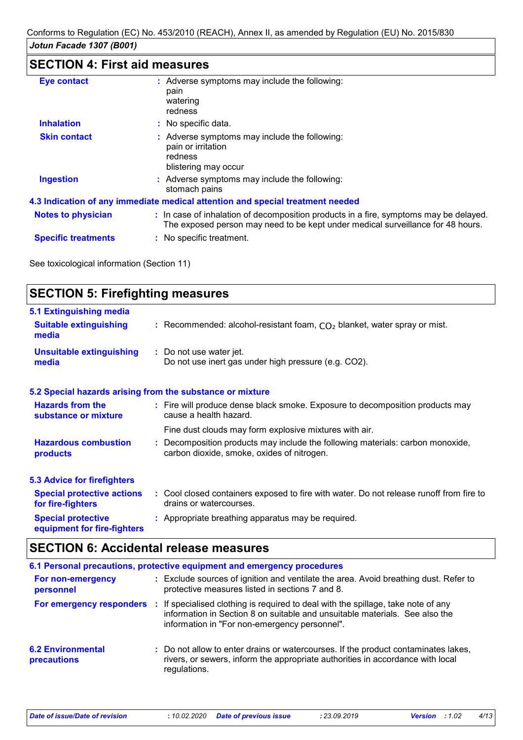# **SECTION 4: First aid measures**

| <b>Eye contact</b>         | : Adverse symptoms may include the following:<br>pain<br>watering<br>redness                                                                                             |
|----------------------------|--------------------------------------------------------------------------------------------------------------------------------------------------------------------------|
| <b>Inhalation</b>          | : No specific data.                                                                                                                                                      |
| <b>Skin contact</b>        | : Adverse symptoms may include the following:<br>pain or irritation<br>redness<br>blistering may occur                                                                   |
| <b>Ingestion</b>           | : Adverse symptoms may include the following:<br>stomach pains                                                                                                           |
|                            | 4.3 Indication of any immediate medical attention and special treatment needed                                                                                           |
| <b>Notes to physician</b>  | : In case of inhalation of decomposition products in a fire, symptoms may be delayed.<br>The exposed person may need to be kept under medical surveillance for 48 hours. |
| <b>Specific treatments</b> | : No specific treatment.                                                                                                                                                 |

See toxicological information (Section 11)

| <b>SECTION 5: Firefighting measures</b>                                  |                                                                                                                              |  |
|--------------------------------------------------------------------------|------------------------------------------------------------------------------------------------------------------------------|--|
| <b>5.1 Extinguishing media</b><br><b>Suitable extinguishing</b><br>media | : Recommended: alcohol-resistant foam, $CO2$ blanket, water spray or mist.                                                   |  |
| <b>Unsuitable extinguishing</b><br>media                                 | : Do not use water jet.<br>Do not use inert gas under high pressure (e.g. CO2).                                              |  |
|                                                                          | 5.2 Special hazards arising from the substance or mixture                                                                    |  |
| <b>Hazards from the</b><br>substance or mixture                          | : Fire will produce dense black smoke. Exposure to decomposition products may<br>cause a health hazard.                      |  |
|                                                                          | Fine dust clouds may form explosive mixtures with air.                                                                       |  |
| <b>Hazardous combustion</b><br>products                                  | : Decomposition products may include the following materials: carbon monoxide,<br>carbon dioxide, smoke, oxides of nitrogen. |  |
| <b>5.3 Advice for firefighters</b>                                       |                                                                                                                              |  |
| <b>Special protective actions</b><br>for fire-fighters                   | : Cool closed containers exposed to fire with water. Do not release runoff from fire to<br>drains or watercourses.           |  |
| <b>Special protective</b><br>equipment for fire-fighters                 | : Appropriate breathing apparatus may be required.                                                                           |  |

# **SECTION 6: Accidental release measures**

| 6.1 Personal precautions, protective equipment and emergency procedures |  |                                                                                                                                                                                                                                                   |
|-------------------------------------------------------------------------|--|---------------------------------------------------------------------------------------------------------------------------------------------------------------------------------------------------------------------------------------------------|
| For non-emergency<br>personnel                                          |  | : Exclude sources of ignition and ventilate the area. Avoid breathing dust. Refer to<br>protective measures listed in sections 7 and 8.                                                                                                           |
|                                                                         |  | <b>For emergency responders</b> : If specialised clothing is required to deal with the spillage, take note of any<br>information in Section 8 on suitable and unsuitable materials. See also the<br>information in "For non-emergency personnel". |
| <b>6.2 Environmental</b><br>precautions                                 |  | : Do not allow to enter drains or watercourses. If the product contaminates lakes,<br>rivers, or sewers, inform the appropriate authorities in accordance with local<br>regulations.                                                              |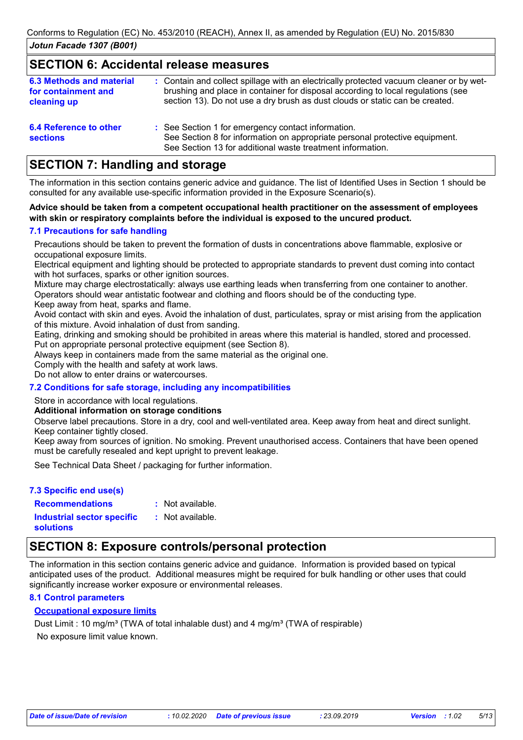## **SECTION 6: Accidental release measures**

| <b>6.3 Methods and material</b><br>for containment and<br>cleaning up | : Contain and collect spillage with an electrically protected vacuum cleaner or by wet-<br>brushing and place in container for disposal according to local regulations (see<br>section 13). Do not use a dry brush as dust clouds or static can be created. |
|-----------------------------------------------------------------------|-------------------------------------------------------------------------------------------------------------------------------------------------------------------------------------------------------------------------------------------------------------|
| 6.4 Reference to other<br><b>sections</b>                             | : See Section 1 for emergency contact information.<br>See Section 8 for information on appropriate personal protective equipment.<br>See Section 13 for additional waste treatment information.                                                             |

# **SECTION 7: Handling and storage**

The information in this section contains generic advice and guidance. The list of Identified Uses in Section 1 should be consulted for any available use-specific information provided in the Exposure Scenario(s).

#### **Advice should be taken from a competent occupational health practitioner on the assessment of employees with skin or respiratory complaints before the individual is exposed to the uncured product.**

### **7.1 Precautions for safe handling**

Precautions should be taken to prevent the formation of dusts in concentrations above flammable, explosive or occupational exposure limits.

Electrical equipment and lighting should be protected to appropriate standards to prevent dust coming into contact with hot surfaces, sparks or other ignition sources.

Mixture may charge electrostatically: always use earthing leads when transferring from one container to another. Operators should wear antistatic footwear and clothing and floors should be of the conducting type.

Keep away from heat, sparks and flame.

Avoid contact with skin and eyes. Avoid the inhalation of dust, particulates, spray or mist arising from the application of this mixture. Avoid inhalation of dust from sanding.

Eating, drinking and smoking should be prohibited in areas where this material is handled, stored and processed. Put on appropriate personal protective equipment (see Section 8).

Always keep in containers made from the same material as the original one.

Comply with the health and safety at work laws.

Do not allow to enter drains or watercourses.

### **7.2 Conditions for safe storage, including any incompatibilities**

Store in accordance with local regulations.

#### **Additional information on storage conditions**

Observe label precautions. Store in a dry, cool and well-ventilated area. Keep away from heat and direct sunlight. Keep container tightly closed.

Keep away from sources of ignition. No smoking. Prevent unauthorised access. Containers that have been opened must be carefully resealed and kept upright to prevent leakage.

See Technical Data Sheet / packaging for further information.

### **7.3 Specific end use(s)**

**Recommendations : Industrial sector specific : solutions**

: Not available.

### : Not available.

# **SECTION 8: Exposure controls/personal protection**

The information in this section contains generic advice and guidance. Information is provided based on typical anticipated uses of the product. Additional measures might be required for bulk handling or other uses that could significantly increase worker exposure or environmental releases.

### **8.1 Control parameters**

### **Occupational exposure limits**

No exposure limit value known. Dust Limit : 10 mg/m<sup>3</sup> (TWA of total inhalable dust) and 4 mg/m<sup>3</sup> (TWA of respirable)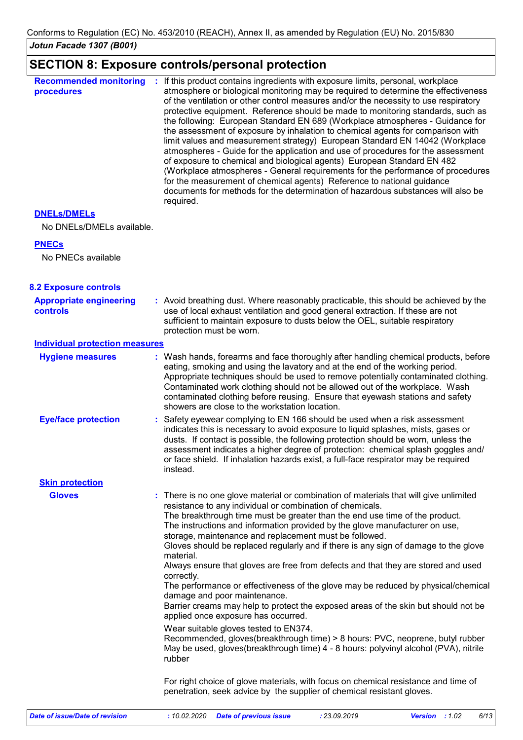# **SECTION 8: Exposure controls/personal protection**

| <b>Recommended monitoring</b><br>procedures | If this product contains ingredients with exposure limits, personal, workplace<br>atmosphere or biological monitoring may be required to determine the effectiveness<br>of the ventilation or other control measures and/or the necessity to use respiratory<br>protective equipment. Reference should be made to monitoring standards, such as<br>the following: European Standard EN 689 (Workplace atmospheres - Guidance for<br>the assessment of exposure by inhalation to chemical agents for comparison with<br>limit values and measurement strategy) European Standard EN 14042 (Workplace<br>atmospheres - Guide for the application and use of procedures for the assessment<br>of exposure to chemical and biological agents) European Standard EN 482<br>(Workplace atmospheres - General requirements for the performance of procedures<br>for the measurement of chemical agents) Reference to national guidance<br>documents for methods for the determination of hazardous substances will also be<br>required. |
|---------------------------------------------|----------------------------------------------------------------------------------------------------------------------------------------------------------------------------------------------------------------------------------------------------------------------------------------------------------------------------------------------------------------------------------------------------------------------------------------------------------------------------------------------------------------------------------------------------------------------------------------------------------------------------------------------------------------------------------------------------------------------------------------------------------------------------------------------------------------------------------------------------------------------------------------------------------------------------------------------------------------------------------------------------------------------------------|
|---------------------------------------------|----------------------------------------------------------------------------------------------------------------------------------------------------------------------------------------------------------------------------------------------------------------------------------------------------------------------------------------------------------------------------------------------------------------------------------------------------------------------------------------------------------------------------------------------------------------------------------------------------------------------------------------------------------------------------------------------------------------------------------------------------------------------------------------------------------------------------------------------------------------------------------------------------------------------------------------------------------------------------------------------------------------------------------|

## **DNELs/DMELs**

No DNELs/DMELs available.

## **PNECs**

No PNECs available

| <b>8.2 Exposure controls</b>               |                                                                                                                                                                                                                                                                                                                                                                                                                                                                                                                                                                                                                                                                                                                                                                                                                                                                                                                                                                                                                                                                 |
|--------------------------------------------|-----------------------------------------------------------------------------------------------------------------------------------------------------------------------------------------------------------------------------------------------------------------------------------------------------------------------------------------------------------------------------------------------------------------------------------------------------------------------------------------------------------------------------------------------------------------------------------------------------------------------------------------------------------------------------------------------------------------------------------------------------------------------------------------------------------------------------------------------------------------------------------------------------------------------------------------------------------------------------------------------------------------------------------------------------------------|
| <b>Appropriate engineering</b><br>controls | : Avoid breathing dust. Where reasonably practicable, this should be achieved by the<br>use of local exhaust ventilation and good general extraction. If these are not<br>sufficient to maintain exposure to dusts below the OEL, suitable respiratory<br>protection must be worn.                                                                                                                                                                                                                                                                                                                                                                                                                                                                                                                                                                                                                                                                                                                                                                              |
| <b>Individual protection measures</b>      |                                                                                                                                                                                                                                                                                                                                                                                                                                                                                                                                                                                                                                                                                                                                                                                                                                                                                                                                                                                                                                                                 |
| <b>Hygiene measures</b>                    | : Wash hands, forearms and face thoroughly after handling chemical products, before<br>eating, smoking and using the lavatory and at the end of the working period.<br>Appropriate techniques should be used to remove potentially contaminated clothing.<br>Contaminated work clothing should not be allowed out of the workplace. Wash<br>contaminated clothing before reusing. Ensure that eyewash stations and safety<br>showers are close to the workstation location.                                                                                                                                                                                                                                                                                                                                                                                                                                                                                                                                                                                     |
| <b>Eye/face protection</b>                 | : Safety eyewear complying to EN 166 should be used when a risk assessment<br>indicates this is necessary to avoid exposure to liquid splashes, mists, gases or<br>dusts. If contact is possible, the following protection should be worn, unless the<br>assessment indicates a higher degree of protection: chemical splash goggles and/<br>or face shield. If inhalation hazards exist, a full-face respirator may be required<br>instead.                                                                                                                                                                                                                                                                                                                                                                                                                                                                                                                                                                                                                    |
| <b>Skin protection</b>                     |                                                                                                                                                                                                                                                                                                                                                                                                                                                                                                                                                                                                                                                                                                                                                                                                                                                                                                                                                                                                                                                                 |
| <b>Gloves</b>                              | : There is no one glove material or combination of materials that will give unlimited<br>resistance to any individual or combination of chemicals.<br>The breakthrough time must be greater than the end use time of the product.<br>The instructions and information provided by the glove manufacturer on use,<br>storage, maintenance and replacement must be followed.<br>Gloves should be replaced regularly and if there is any sign of damage to the glove<br>material.<br>Always ensure that gloves are free from defects and that they are stored and used<br>correctly.<br>The performance or effectiveness of the glove may be reduced by physical/chemical<br>damage and poor maintenance.<br>Barrier creams may help to protect the exposed areas of the skin but should not be<br>applied once exposure has occurred.<br>Wear suitable gloves tested to EN374.<br>Recommended, gloves(breakthrough time) > 8 hours: PVC, neoprene, butyl rubber<br>May be used, gloves(breakthrough time) 4 - 8 hours: polyvinyl alcohol (PVA), nitrile<br>rubber |
|                                            | For right choice of glove materials, with focus on chemical resistance and time of<br>penetration, seek advice by the supplier of chemical resistant gloves.                                                                                                                                                                                                                                                                                                                                                                                                                                                                                                                                                                                                                                                                                                                                                                                                                                                                                                    |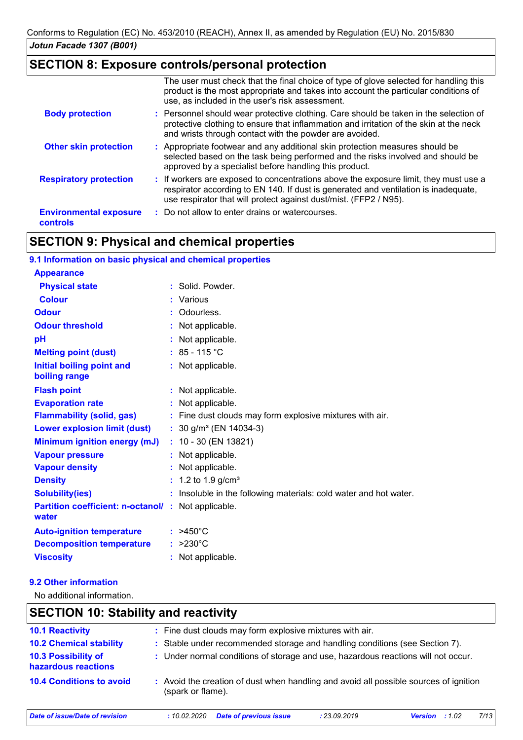# **SECTION 8: Exposure controls/personal protection**

|                                                  | The user must check that the final choice of type of glove selected for handling this<br>product is the most appropriate and takes into account the particular conditions of<br>use, as included in the user's risk assessment.                  |
|--------------------------------------------------|--------------------------------------------------------------------------------------------------------------------------------------------------------------------------------------------------------------------------------------------------|
| <b>Body protection</b>                           | : Personnel should wear protective clothing. Care should be taken in the selection of<br>protective clothing to ensure that inflammation and irritation of the skin at the neck<br>and wrists through contact with the powder are avoided.       |
| <b>Other skin protection</b>                     | : Appropriate footwear and any additional skin protection measures should be<br>selected based on the task being performed and the risks involved and should be<br>approved by a specialist before handling this product.                        |
| <b>Respiratory protection</b>                    | : If workers are exposed to concentrations above the exposure limit, they must use a<br>respirator according to EN 140. If dust is generated and ventilation is inadequate,<br>use respirator that will protect against dust/mist. (FFP2 / N95). |
| <b>Environmental exposure</b><br><b>controls</b> | : Do not allow to enter drains or watercourses.                                                                                                                                                                                                  |

# **SECTION 9: Physical and chemical properties**

| 9.1 Information on basic physical and chemical properties           |                                                                   |
|---------------------------------------------------------------------|-------------------------------------------------------------------|
| <b>Appearance</b>                                                   |                                                                   |
| <b>Physical state</b>                                               | : Solid. Powder.                                                  |
| <b>Colour</b>                                                       | : Various                                                         |
| <b>Odour</b>                                                        | : Odourless.                                                      |
| <b>Odour threshold</b>                                              | Not applicable.                                                   |
| pH                                                                  | : Not applicable.                                                 |
| <b>Melting point (dust)</b>                                         | : $85 - 115$ °C                                                   |
| Initial boiling point and<br>boiling range                          | : Not applicable.                                                 |
| <b>Flash point</b>                                                  | : Not applicable.                                                 |
| <b>Evaporation rate</b>                                             | : Not applicable.                                                 |
| <b>Flammability (solid, gas)</b>                                    | : Fine dust clouds may form explosive mixtures with air.          |
| <b>Lower explosion limit (dust)</b>                                 | : $30$ g/m <sup>3</sup> (EN 14034-3)                              |
| Minimum ignition energy (mJ)                                        | $: 10 - 30$ (EN 13821)                                            |
| <b>Vapour pressure</b>                                              | : Not applicable.                                                 |
| <b>Vapour density</b>                                               | : Not applicable.                                                 |
| <b>Density</b>                                                      | : 1.2 to 1.9 $g/cm^{3}$                                           |
| <b>Solubility(ies)</b>                                              | : Insoluble in the following materials: cold water and hot water. |
| <b>Partition coefficient: n-octanol/ : Not applicable.</b><br>water |                                                                   |
| <b>Auto-ignition temperature</b>                                    | $: >450^{\circ}$ C                                                |
| <b>Decomposition temperature</b>                                    | $: >230^{\circ}C$                                                 |
| <b>Viscosity</b>                                                    | : Not applicable.                                                 |

## **9.2 Other information**

 $\mathbf l$ 

No additional information.

| <b>SECTION 10: Stability and reactivity</b> |                                                                                                            |              |                          |  |  |
|---------------------------------------------|------------------------------------------------------------------------------------------------------------|--------------|--------------------------|--|--|
| <b>10.1 Reactivity</b>                      | : Fine dust clouds may form explosive mixtures with air.                                                   |              |                          |  |  |
| <b>10.2 Chemical stability</b>              | : Stable under recommended storage and handling conditions (see Section 7).                                |              |                          |  |  |
| 10.3 Possibility of<br>hazardous reactions  | : Under normal conditions of storage and use, hazardous reactions will not occur.                          |              |                          |  |  |
| <b>10.4 Conditions to avoid</b>             | : Avoid the creation of dust when handling and avoid all possible sources of ignition<br>(spark or flame). |              |                          |  |  |
| Date of issue/Date of revision              | <b>Date of previous issue</b><br>:10.02.2020                                                               | : 23.09.2019 | 7/13<br>:1.02<br>Version |  |  |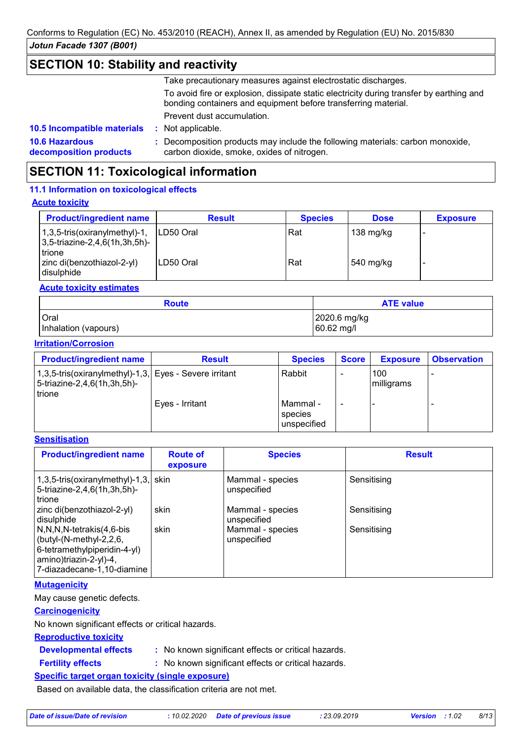# **SECTION 10: Stability and reactivity**

Take precautionary measures against electrostatic discharges.

To avoid fire or explosion, dissipate static electricity during transfer by earthing and bonding containers and equipment before transferring material.

Prevent dust accumulation.

: Not applicable.

**10.6 Hazardous decomposition products 10.5 Incompatible materials :**

**:** Decomposition products may include the following materials: carbon monoxide, carbon dioxide, smoke, oxides of nitrogen.

# **SECTION 11: Toxicological information**

## **11.1 Information on toxicological effects**

## **Acute toxicity**

| <b>Product/ingredient name</b>                                                  | <b>Result</b> | <b>Species</b> | <b>Dose</b>       | <b>Exposure</b> |
|---------------------------------------------------------------------------------|---------------|----------------|-------------------|-----------------|
| $1,3,5$ -tris(oxiranylmethyl)-1,<br>$ 3,5$ -triazine-2,4,6(1h,3h,5h)-<br>trione | ILD50 Oral    | Rat            | 138 mg/kg         |                 |
| zinc di(benzothiazol-2-yl)<br>l disulphide                                      | ILD50 Oral    | Rat            | $\vert$ 540 mg/kg |                 |

## **Acute toxicity estimates**

| <b>Route</b>         | <b>ATE value</b> |
|----------------------|------------------|
| <b>Oral</b>          | 2020.6 mg/kg     |
| Inhalation (vapours) | 60.62 mg/l       |

### **Irritation/Corrosion**

| <b>Product/ingredient name</b>                                                                  | <b>Result</b>   | <b>Species</b>                     | <b>Score</b> | <b>Exposure</b>   | <b>Observation</b> |
|-------------------------------------------------------------------------------------------------|-----------------|------------------------------------|--------------|-------------------|--------------------|
| 1,3,5-tris(oxiranylmethyl)-1,3, Eyes - Severe irritant<br>5-triazine-2,4,6(1h,3h,5h)-<br>trione |                 | Rabbit                             |              | 100<br>milligrams |                    |
|                                                                                                 | Eyes - Irritant | Mammal -<br>species<br>unspecified |              |                   |                    |

## **Sensitisation**

| <b>Product/ingredient name</b>                                                                                                              | <b>Route of</b><br>exposure | <b>Species</b>                  | <b>Result</b> |
|---------------------------------------------------------------------------------------------------------------------------------------------|-----------------------------|---------------------------------|---------------|
| $1,3,5$ -tris(oxiranylmethyl)-1,3, skin<br>5-triazine-2,4,6(1h,3h,5h)-<br>l trione                                                          |                             | Mammal - species<br>unspecified | Sensitising   |
| zinc di(benzothiazol-2-yl)<br>disulphide                                                                                                    | skin                        | Mammal - species<br>unspecified | Sensitising   |
| N,N,N,N-tetrakis(4,6-bis<br>(butyl-(N-methyl-2,2,6,<br>6-tetramethylpiperidin-4-yl)<br>amino)triazin-2-yl)-4,<br>7-diazadecane-1,10-diamine | skin                        | Mammal - species<br>unspecified | Sensitising   |

### **Mutagenicity**

May cause genetic defects.

### **Carcinogenicity**

No known significant effects or critical hazards.

### **Reproductive toxicity**

- **Developmental effects :**
- : No known significant effects or critical hazards.
- **Fertility effects :**
- : No known significant effects or critical hazards.

## **Specific target organ toxicity (single exposure)**

Based on available data, the classification criteria are not met.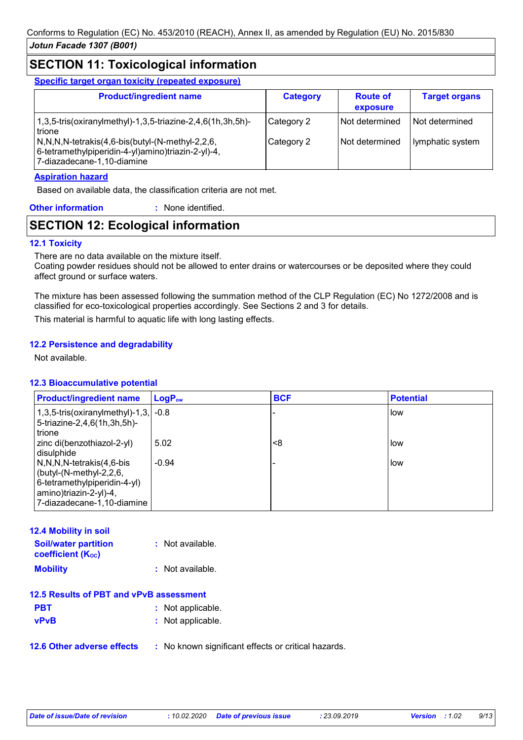# **SECTION 11: Toxicological information**

**Specific target organ toxicity (repeated exposure)**

| <b>Product/ingredient name</b>                                                                                                                                                                                                     | <b>Category</b>          | <b>Route of</b><br>exposure      | <b>Target organs</b>                 |
|------------------------------------------------------------------------------------------------------------------------------------------------------------------------------------------------------------------------------------|--------------------------|----------------------------------|--------------------------------------|
| $1,3,5$ -tris(oxiranylmethyl)-1,3,5-triazine-2,4,6(1h,3h,5h)-<br>trione<br>$\sqrt{N,N,N}$ -tetrakis $(4,6$ -bis $\frac{N-1}{N}$ -methyl-2,2,6,<br>6-tetramethylpiperidin-4-yl)amino)triazin-2-yl)-4,<br>7-diazadecane-1,10-diamine | Category 2<br>Category 2 | Not determined<br>Not determined | l Not determined<br>lymphatic system |

### **Aspiration hazard**

Based on available data, the classification criteria are not met.

| <b>Other information</b> | : None identified. |
|--------------------------|--------------------|
|                          |                    |

# **SECTION 12: Ecological information**

### **12.1 Toxicity**

There are no data available on the mixture itself.

Coating powder residues should not be allowed to enter drains or watercourses or be deposited where they could affect ground or surface waters.

The mixture has been assessed following the summation method of the CLP Regulation (EC) No 1272/2008 and is classified for eco-toxicological properties accordingly. See Sections 2 and 3 for details.

This material is harmful to aquatic life with long lasting effects.

### **12.2 Persistence and degradability**

Not available.

### **12.3 Bioaccumulative potential**

| <b>Product/ingredient name</b>                                                                                                                  | $LogP_{ow}$ | <b>BCF</b> | <b>Potential</b> |
|-------------------------------------------------------------------------------------------------------------------------------------------------|-------------|------------|------------------|
| 1,3,5-tris(oxiranylmethyl)-1,3, $\sim$ -0.8<br>5-triazine-2,4,6(1h,3h,5h)-<br>trione                                                            |             |            | i low            |
| zinc di(benzothiazol-2-yl)<br>disulphide                                                                                                        | 5.02        | <8         | low              |
| N,N,N,N-tetrakis(4,6-bis<br>(butyl- $(N$ -methyl-2,2,6,<br>6-tetramethylpiperidin-4-yl)<br>amino)triazin-2-yl)-4,<br>7-diazadecane-1,10-diamine | $-0.94$     |            | low.             |

| <b>12.4 Mobility in soil</b>                            |                    |
|---------------------------------------------------------|--------------------|
| <b>Soil/water partition</b><br><b>coefficient (Koc)</b> | $:$ Not available. |
| <b>Mobility</b>                                         | : Not available.   |
| 12.5 Results of PBT and vPvB assessment                 |                    |
| <b>PBT</b>                                              | : Not applicable.  |
| <b>vPvB</b>                                             | : Not applicable.  |

**12.6 Other adverse effects** : No known significant effects or critical hazards.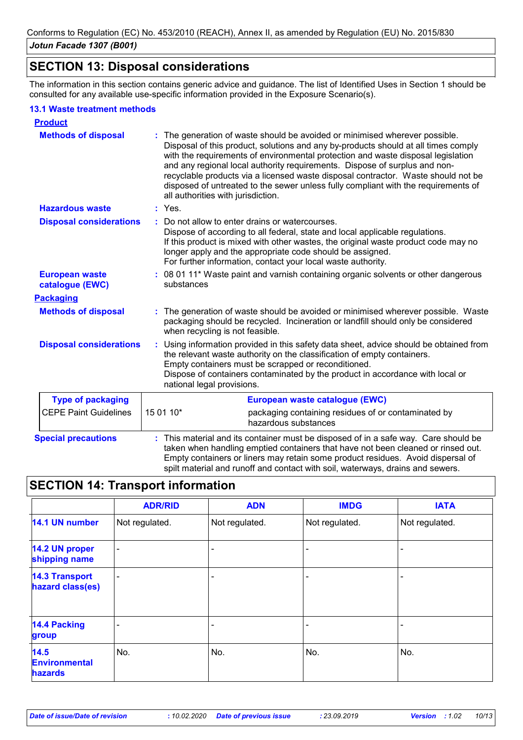# **SECTION 13: Disposal considerations**

The information in this section contains generic advice and guidance. The list of Identified Uses in Section 1 should be consulted for any available use-specific information provided in the Exposure Scenario(s).

### **13.1 Waste treatment methods**

| <b>Product</b>                           |                                                                                                                                                                                                                                                                                                                                                                                                                                                                                                                                                    |
|------------------------------------------|----------------------------------------------------------------------------------------------------------------------------------------------------------------------------------------------------------------------------------------------------------------------------------------------------------------------------------------------------------------------------------------------------------------------------------------------------------------------------------------------------------------------------------------------------|
| <b>Methods of disposal</b>               | The generation of waste should be avoided or minimised wherever possible.<br>Disposal of this product, solutions and any by-products should at all times comply<br>with the requirements of environmental protection and waste disposal legislation<br>and any regional local authority requirements. Dispose of surplus and non-<br>recyclable products via a licensed waste disposal contractor. Waste should not be<br>disposed of untreated to the sewer unless fully compliant with the requirements of<br>all authorities with jurisdiction. |
| <b>Hazardous waste</b>                   | : Yes.                                                                                                                                                                                                                                                                                                                                                                                                                                                                                                                                             |
| <b>Disposal considerations</b>           | Do not allow to enter drains or watercourses.<br>÷.<br>Dispose of according to all federal, state and local applicable regulations.<br>If this product is mixed with other wastes, the original waste product code may no<br>longer apply and the appropriate code should be assigned.<br>For further information, contact your local waste authority.                                                                                                                                                                                             |
| <b>European waste</b><br>catalogue (EWC) | : 08 01 11* Waste paint and varnish containing organic solvents or other dangerous<br>substances                                                                                                                                                                                                                                                                                                                                                                                                                                                   |
| <b>Packaging</b>                         |                                                                                                                                                                                                                                                                                                                                                                                                                                                                                                                                                    |
| <b>Methods of disposal</b>               | The generation of waste should be avoided or minimised wherever possible. Waste<br>packaging should be recycled. Incineration or landfill should only be considered<br>when recycling is not feasible.                                                                                                                                                                                                                                                                                                                                             |
| <b>Disposal considerations</b>           | Using information provided in this safety data sheet, advice should be obtained from<br>÷.<br>the relevant waste authority on the classification of empty containers.<br>Empty containers must be scrapped or reconditioned.<br>Dispose of containers contaminated by the product in accordance with local or<br>national legal provisions.                                                                                                                                                                                                        |
| <b>Type of packaging</b>                 | European waste catalogue (EWC)                                                                                                                                                                                                                                                                                                                                                                                                                                                                                                                     |
| <b>CEPE Paint Guidelines</b>             | 15 01 10*<br>packaging containing residues of or contaminated by<br>hazardous substances                                                                                                                                                                                                                                                                                                                                                                                                                                                           |
| <b>Special precautions</b>               | This material and its container must be disposed of in a safe way. Care should be<br>taken when handling emptied containers that have not been cleaned or rinsed out.<br>Empty containers or liners may retain some product residues. Avoid dispersal of<br>spilt material and runoff and contact with soil, waterways, drains and sewers.                                                                                                                                                                                                         |

# **SECTION 14: Transport information**

|                                           | <b>ADR/RID</b>           | <b>ADN</b>     | <b>IMDG</b>    | <b>IATA</b>    |
|-------------------------------------------|--------------------------|----------------|----------------|----------------|
| 14.1 UN number                            | Not regulated.           | Not regulated. | Not regulated. | Not regulated. |
| 14.2 UN proper<br>shipping name           | $\overline{\phantom{a}}$ |                |                |                |
| <b>14.3 Transport</b><br>hazard class(es) | $\overline{\phantom{0}}$ |                |                |                |
| <b>14.4 Packing</b><br>group              |                          |                |                |                |
| 14.5<br><b>Environmental</b><br>hazards   | No.                      | No.            | No.            | No.            |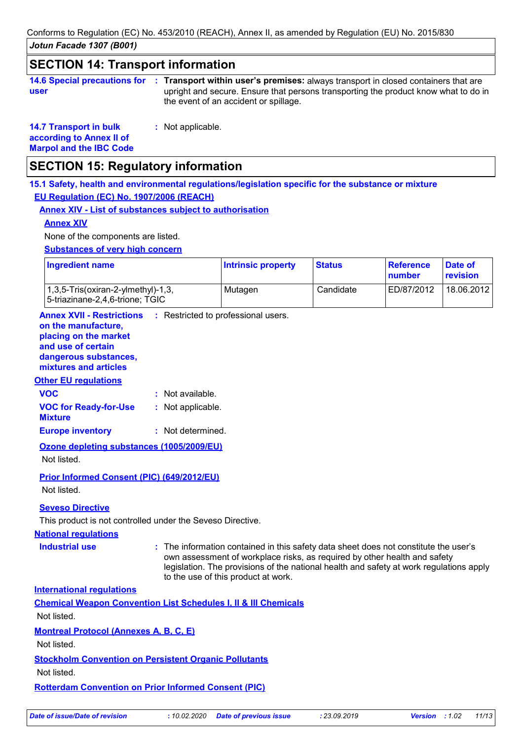*Jotun Facade 1307 (B001)* Conforms to Regulation (EC) No. 453/2010 (REACH), Annex II, as amended by Regulation (EU) No. 2015/830

# **SECTION 14: Transport information**

|      | 14.6 Special precautions for : Transport within user's premises: a |
|------|--------------------------------------------------------------------|
| user | upright and secure. Ensure that persor                             |

Iways transport in closed containers that are ns transporting the product know what to do in the event of an accident or spillage.

**14.7 Transport in bulk according to Annex II of Marpol and the IBC Code** **:** Not applicable.

# **SECTION 15: Regulatory information**

**15.1 Safety, health and environmental regulations/legislation specific for the substance or mixture EU Regulation (EC) No. 1907/2006 (REACH)**

## **Annex XIV - List of substances subject to authorisation**

### **Annex XIV**

None of the components are listed.

**Substances of very high concern**

| <b>Ingredient name</b>                                                                 | <b>Intrinsic property</b> | <b>Status</b> | Reference<br>number | Date of<br>revision |
|----------------------------------------------------------------------------------------|---------------------------|---------------|---------------------|---------------------|
| $(1,3,5\text{-}Tris(oxiran-2\text{-}vImethyl)-1,3)$<br>5-triazinane-2,4,6-trione; TGIC | Mutagen                   | Candidate     | ED/87/2012          | 18.06.2012          |

**Annex XVII - Restrictions** : Restricted to professional users.

#### **on the manufacture, placing on the market**

**and use of certain** 

**dangerous substances,**

## **mixtures and articles**

### **Other EU regulations**

| <b>VOC</b>                                     | : Not available.  |
|------------------------------------------------|-------------------|
| <b>VOC for Ready-for-Use</b><br><b>Mixture</b> | : Not applicable. |
| <b>Europe inventory</b>                        | : Not determined. |

**Ozone depleting substances (1005/2009/EU)** Not listed.

**Prior Informed Consent (PIC) (649/2012/EU)** Not listed.

## **Seveso Directive**

This product is not controlled under the Seveso Directive.

## **National regulations**

**Industrial use <b>:** The information contained in this safety data sheet does not constitute the user's own assessment of workplace risks, as required by other health and safety legislation. The provisions of the national health and safety at work regulations apply to the use of this product at work.

**International regulations**

| <b>Chemical Weapon Convention List Schedules I, II &amp; III Chemicals</b> |  |
|----------------------------------------------------------------------------|--|
|                                                                            |  |

Not listed.

**Montreal Protocol (Annexes A, B, C, E)**

Not listed.

# **Stockholm Convention on Persistent Organic Pollutants**

Not listed.

## **Rotterdam Convention on Prior Informed Consent (PIC)**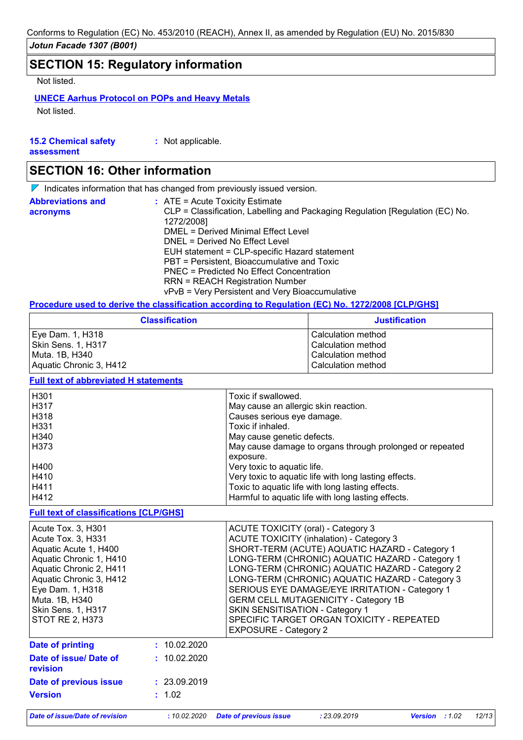# **SECTION 15: Regulatory information**

Not listed.

## **UNECE Aarhus Protocol on POPs and Heavy Metals**

Not listed.

| <b>15.2 Chemical safety</b> | : Not applicable. |
|-----------------------------|-------------------|
| assessment                  |                   |

# **SECTION 16: Other information**

 $\nabla$  Indicates information that has changed from previously issued version.

| <b>Abbreviations and</b><br>acronyms | $\therefore$ ATE = Acute Toxicity Estimate<br>CLP = Classification, Labelling and Packaging Regulation [Regulation (EC) No.<br>1272/2008] |
|--------------------------------------|-------------------------------------------------------------------------------------------------------------------------------------------|
|                                      | DMEL = Derived Minimal Effect Level                                                                                                       |
|                                      | DNEL = Derived No Effect Level                                                                                                            |
|                                      | EUH statement = CLP-specific Hazard statement                                                                                             |
|                                      | PBT = Persistent, Bioaccumulative and Toxic                                                                                               |
|                                      | PNEC = Predicted No Effect Concentration                                                                                                  |
|                                      | <b>RRN = REACH Registration Number</b>                                                                                                    |
|                                      | vPvB = Very Persistent and Very Bioaccumulative                                                                                           |

#### **Procedure used to derive the classification according to Regulation (EC) No. 1272/2008 [CLP/GHS]**

| <b>Classification</b>   | <b>Justification</b> |
|-------------------------|----------------------|
| Eye Dam. 1, H318        | l Calculation method |
| Skin Sens. 1, H317      | Calculation method   |
| Muta. 1B, H340          | Calculation method   |
| Aquatic Chronic 3, H412 | Calculation method   |

## **Full text of abbreviated H statements**

| H <sub>301</sub> | Toxic if swallowed.                                      |
|------------------|----------------------------------------------------------|
| H317             | May cause an allergic skin reaction.                     |
| H318             | Causes serious eye damage.                               |
| H331             | Toxic if inhaled.                                        |
| H340             | May cause genetic defects.                               |
| H373             | May cause damage to organs through prolonged or repeated |
|                  | exposure.                                                |
| H400             | Very toxic to aquatic life.                              |
| H410             | Very toxic to aquatic life with long lasting effects.    |
| H411             | Toxic to aquatic life with long lasting effects.         |
| H412             | Harmful to aquatic life with long lasting effects.       |

### **Full text of classifications [CLP/GHS]**

| Acute Tox. 3, H301<br>Acute Tox. 3, H331<br>Aquatic Acute 1, H400<br>Aquatic Chronic 1, H410<br>Aquatic Chronic 2, H411<br>Aquatic Chronic 3, H412<br>Eye Dam. 1, H318<br>Muta. 1B, H340<br><b>Skin Sens. 1, H317</b><br><b>STOT RE 2, H373</b> |              | ACUTE TOXICITY (oral) - Category 3<br><b>ACUTE TOXICITY (inhalation) - Category 3</b><br>SHORT-TERM (ACUTE) AQUATIC HAZARD - Category 1<br>LONG-TERM (CHRONIC) AQUATIC HAZARD - Category 1<br>LONG-TERM (CHRONIC) AQUATIC HAZARD - Category 2<br>LONG-TERM (CHRONIC) AQUATIC HAZARD - Category 3<br>SERIOUS EYE DAMAGE/EYE IRRITATION - Category 1<br><b>GERM CELL MUTAGENICITY - Category 1B</b><br>SKIN SENSITISATION - Category 1<br>SPECIFIC TARGET ORGAN TOXICITY - REPEATED<br><b>EXPOSURE - Category 2</b> |
|-------------------------------------------------------------------------------------------------------------------------------------------------------------------------------------------------------------------------------------------------|--------------|-------------------------------------------------------------------------------------------------------------------------------------------------------------------------------------------------------------------------------------------------------------------------------------------------------------------------------------------------------------------------------------------------------------------------------------------------------------------------------------------------------------------|
| Date of printing                                                                                                                                                                                                                                | : 10.02.2020 |                                                                                                                                                                                                                                                                                                                                                                                                                                                                                                                   |
| Date of issue/ Date of<br><b>revision</b>                                                                                                                                                                                                       | : 10.02.2020 |                                                                                                                                                                                                                                                                                                                                                                                                                                                                                                                   |
| Date of previous issue                                                                                                                                                                                                                          | : 23.09.2019 |                                                                                                                                                                                                                                                                                                                                                                                                                                                                                                                   |
| <b>Version</b>                                                                                                                                                                                                                                  | : 1.02       |                                                                                                                                                                                                                                                                                                                                                                                                                                                                                                                   |

*Date of issue/Date of revision* **:** *10.02.2020 Date of previous issue : 23.09.2019 Version : 1.02 12/13*